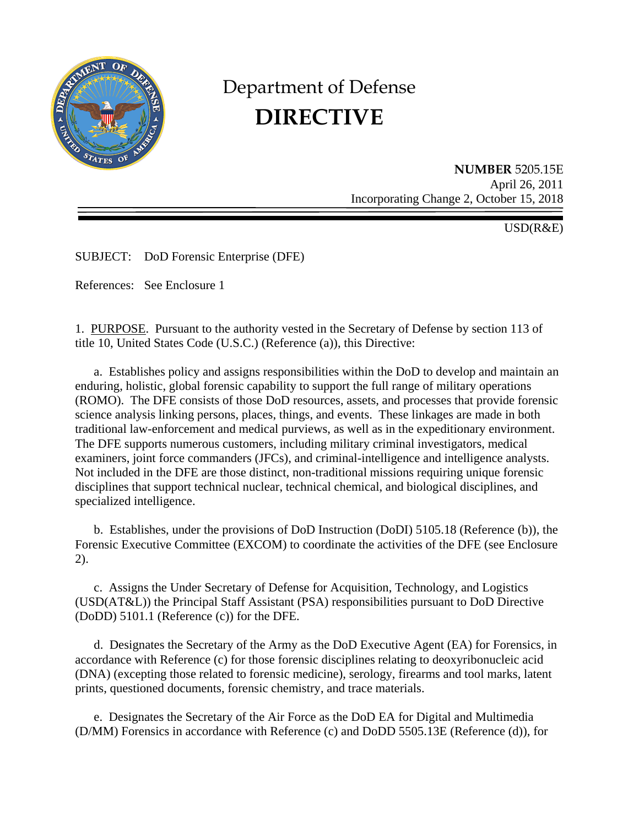

# Department of Defense **DIRECTIVE**

**NUMBER** 5205.15E April 26, 2011 Incorporating Change 2, October 15, 2018

USD(R&E)

SUBJECT: DoD Forensic Enterprise (DFE)

References: See Enclosure 1

1. PURPOSE. Pursuant to the authority vested in the Secretary of Defense by section 113 of title 10, United States Code (U.S.C.) (Reference (a)), this Directive:

a. Establishes policy and assigns responsibilities within the DoD to develop and maintain an enduring, holistic, global forensic capability to support the full range of military operations (ROMO). The DFE consists of those DoD resources, assets, and processes that provide forensic science analysis linking persons, places, things, and events. These linkages are made in both traditional law-enforcement and medical purviews, as well as in the expeditionary environment. The DFE supports numerous customers, including military criminal investigators, medical examiners, joint force commanders (JFCs), and criminal-intelligence and intelligence analysts. Not included in the DFE are those distinct, non-traditional missions requiring unique forensic disciplines that support technical nuclear, technical chemical, and biological disciplines, and specialized intelligence.

 b. Establishes, under the provisions of DoD Instruction (DoDI) 5105.18 (Reference (b)), the Forensic Executive Committee (EXCOM) to coordinate the activities of the DFE (see Enclosure 2).

 c. Assigns the Under Secretary of Defense for Acquisition, Technology, and Logistics (USD(AT&L)) the Principal Staff Assistant (PSA) responsibilities pursuant to DoD Directive (DoDD) 5101.1 (Reference (c)) for the DFE.

 d. Designates the Secretary of the Army as the DoD Executive Agent (EA) for Forensics, in accordance with Reference (c) for those forensic disciplines relating to deoxyribonucleic acid (DNA) (excepting those related to forensic medicine), serology, firearms and tool marks, latent prints, questioned documents, forensic chemistry, and trace materials.

e. Designates the Secretary of the Air Force as the DoD EA for Digital and Multimedia (D/MM) Forensics in accordance with Reference (c) and DoDD 5505.13E (Reference (d)), for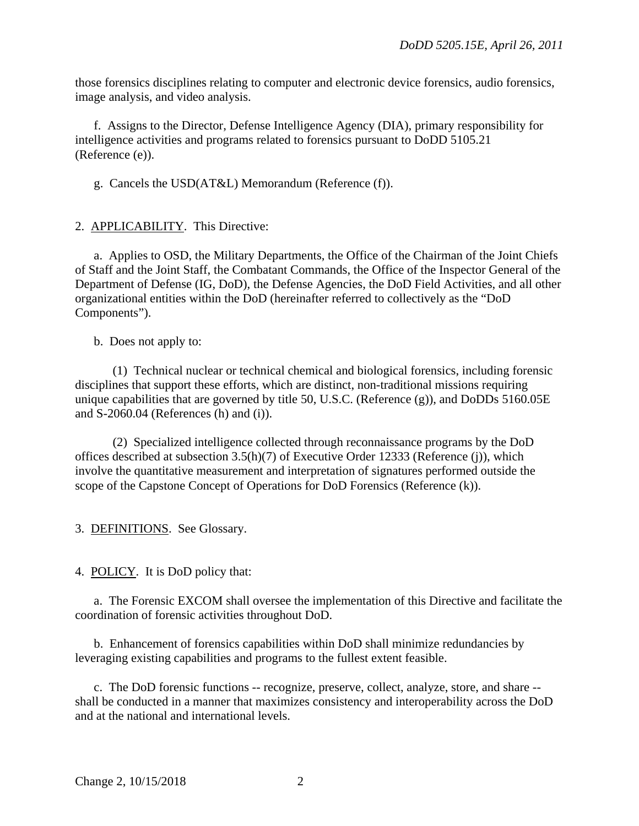those forensics disciplines relating to computer and electronic device forensics, audio forensics, image analysis, and video analysis.

f. Assigns to the Director, Defense Intelligence Agency (DIA), primary responsibility for intelligence activities and programs related to forensics pursuant to DoDD 5105.21 (Reference (e)).

g. Cancels the USD(AT&L) Memorandum (Reference (f)).

2. APPLICABILITY. This Directive:

 a. Applies to OSD, the Military Departments, the Office of the Chairman of the Joint Chiefs of Staff and the Joint Staff, the Combatant Commands, the Office of the Inspector General of the Department of Defense (IG, DoD), the Defense Agencies, the DoD Field Activities, and all other organizational entities within the DoD (hereinafter referred to collectively as the "DoD Components").

b. Does not apply to:

(1) Technical nuclear or technical chemical and biological forensics, including forensic disciplines that support these efforts, which are distinct, non-traditional missions requiring unique capabilities that are governed by title 50, U.S.C. (Reference (g)), and DoDDs 5160.05E and S-2060.04 (References (h) and (i)).

 (2) Specialized intelligence collected through reconnaissance programs by the DoD offices described at subsection 3.5(h)(7) of Executive Order 12333 (Reference (j)), which involve the quantitative measurement and interpretation of signatures performed outside the scope of the Capstone Concept of Operations for DoD Forensics (Reference (k)).

3. DEFINITIONS. See Glossary.

4. POLICY. It is DoD policy that:

 a. The Forensic EXCOM shall oversee the implementation of this Directive and facilitate the coordination of forensic activities throughout DoD.

 b. Enhancement of forensics capabilities within DoD shall minimize redundancies by leveraging existing capabilities and programs to the fullest extent feasible.

 c. The DoD forensic functions -- recognize, preserve, collect, analyze, store, and share - shall be conducted in a manner that maximizes consistency and interoperability across the DoD and at the national and international levels.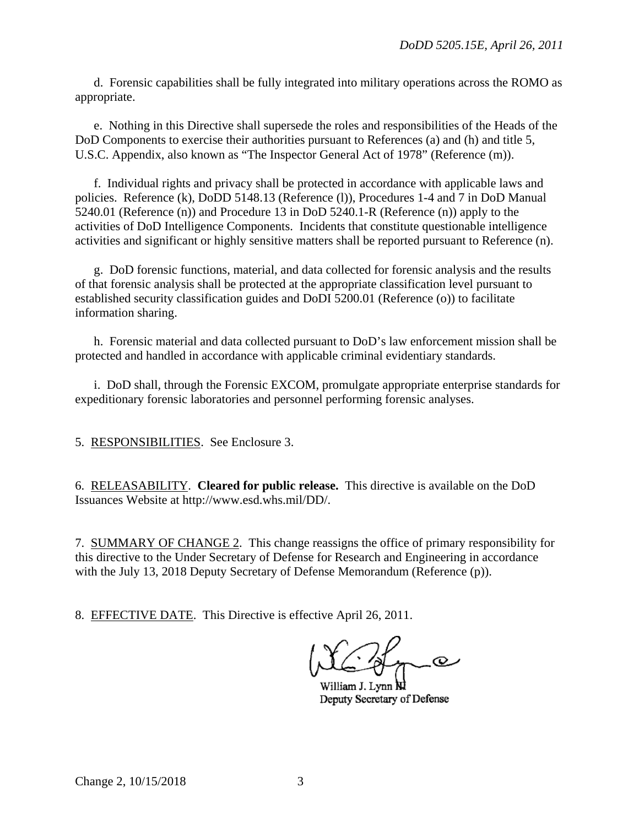d. Forensic capabilities shall be fully integrated into military operations across the ROMO as appropriate.

e. Nothing in this Directive shall supersede the roles and responsibilities of the Heads of the DoD Components to exercise their authorities pursuant to References (a) and (h) and title 5, U.S.C. Appendix, also known as "The Inspector General Act of 1978" (Reference (m)).

 f. Individual rights and privacy shall be protected in accordance with applicable laws and policies. Reference (k), DoDD 5148.13 (Reference (l)), Procedures 1-4 and 7 in DoD Manual 5240.01 (Reference (n)) and Procedure 13 in DoD 5240.1-R (Reference (n)) apply to the activities of DoD Intelligence Components. Incidents that constitute questionable intelligence activities and significant or highly sensitive matters shall be reported pursuant to Reference (n).

g. DoD forensic functions, material, and data collected for forensic analysis and the results of that forensic analysis shall be protected at the appropriate classification level pursuant to established security classification guides and DoDI 5200.01 (Reference (o)) to facilitate information sharing.

h. Forensic material and data collected pursuant to DoD's law enforcement mission shall be protected and handled in accordance with applicable criminal evidentiary standards.

 i. DoD shall, through the Forensic EXCOM, promulgate appropriate enterprise standards for expeditionary forensic laboratories and personnel performing forensic analyses.

5. RESPONSIBILITIES. See Enclosure 3.

6. RELEASABILITY. **Cleared for public release.** This directive is available on the DoD Issuances Website at http://www.esd.whs.mil/DD/.

7. SUMMARY OF CHANGE 2. This change reassigns the office of primary responsibility for this directive to the Under Secretary of Defense for Research and Engineering in accordance with the July 13, 2018 Deputy Secretary of Defense Memorandum (Reference (p)).

8. EFFECTIVE DATE. This Directive is effective April 26, 2011.

 $\overline{\mathcal{Q}}$ 

William J. Lynn **NI** Deputy Secretary of Defense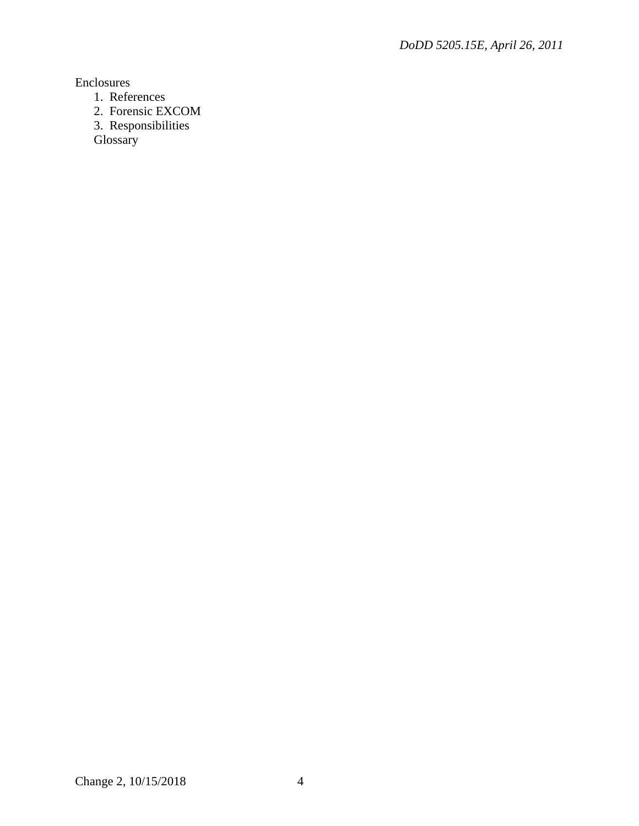Enclosures

- 1. References
- 2. Forensic EXCOM
- 3. Responsibilities

Glossary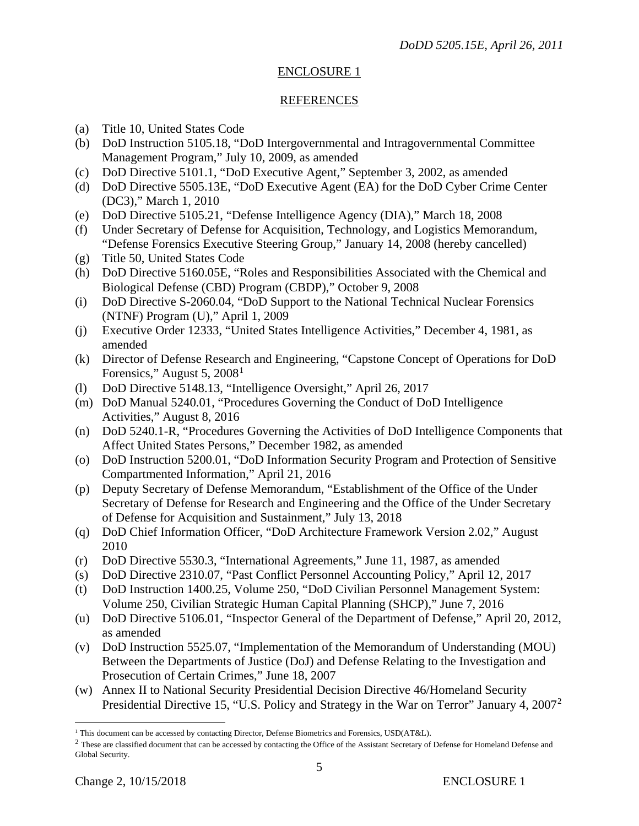# ENCLOSURE 1

# **REFERENCES**

- (a) Title 10, United States Code
- (b) DoD Instruction 5105.18, "DoD Intergovernmental and Intragovernmental Committee Management Program," July 10, 2009, as amended
- (c) DoD Directive 5101.1, "DoD Executive Agent," September 3, 2002, as amended
- (d) DoD Directive 5505.13E, "DoD Executive Agent (EA) for the DoD Cyber Crime Center (DC3)," March 1, 2010
- (e) DoD Directive 5105.21, "Defense Intelligence Agency (DIA)," March 18, 2008
- (f) Under Secretary of Defense for Acquisition, Technology, and Logistics Memorandum, "Defense Forensics Executive Steering Group," January 14, 2008 (hereby cancelled)
- (g) Title 50, United States Code
- (h) DoD Directive 5160.05E, "Roles and Responsibilities Associated with the Chemical and Biological Defense (CBD) Program (CBDP)," October 9, 2008
- (i) DoD Directive S-2060.04, "DoD Support to the National Technical Nuclear Forensics (NTNF) Program (U)," April 1, 2009
- (j) Executive Order 12333, "United States Intelligence Activities," December 4, 1981, as amended
- (k) Director of Defense Research and Engineering, "Capstone Concept of Operations for DoD Forensics," August 5, 2008<sup>[1](#page-4-0)</sup>
- (l) DoD Directive 5148.13, "Intelligence Oversight," April 26, 2017
- (m) DoD Manual 5240.01, "Procedures Governing the Conduct of DoD Intelligence Activities," August 8, 2016
- (n) DoD 5240.1-R, "Procedures Governing the Activities of DoD Intelligence Components that Affect United States Persons," December 1982, as amended
- (o) DoD Instruction 5200.01, "DoD Information Security Program and Protection of Sensitive Compartmented Information," April 21, 2016
- (p) Deputy Secretary of Defense Memorandum, "Establishment of the Office of the Under Secretary of Defense for Research and Engineering and the Office of the Under Secretary of Defense for Acquisition and Sustainment," July 13, 2018
- (q) DoD Chief Information Officer, "DoD Architecture Framework Version 2.02," August 2010
- (r) DoD Directive 5530.3, "International Agreements," June 11, 1987, as amended
- (s) DoD Directive 2310.07, "Past Conflict Personnel Accounting Policy," April 12, 2017
- (t) DoD Instruction 1400.25, Volume 250, "DoD Civilian Personnel Management System: Volume 250, Civilian Strategic Human Capital Planning (SHCP)," June 7, 2016
- (u) DoD Directive 5106.01, "Inspector General of the Department of Defense," April 20, 2012, as amended
- (v) DoD Instruction 5525.07, "Implementation of the Memorandum of Understanding (MOU) Between the Departments of Justice (DoJ) and Defense Relating to the Investigation and Prosecution of Certain Crimes," June 18, 2007
- (w) Annex II to National Security Presidential Decision Directive 46/Homeland Security Presidential Directive 15, "U.S. Policy and Strategy in the War on Terror" January 4, [2](#page-4-1)007<sup>2</sup>

<sup>&</sup>lt;sup>1</sup> This document can be accessed by contacting Director, Defense Biometrics and Forensics, USD(AT&L).  $\overline{a}$ 

<span id="page-4-1"></span><span id="page-4-0"></span> $2$  These are classified document that can be accessed by contacting the Office of the Assistant Secretary of Defense for Homeland Defense and Global Security.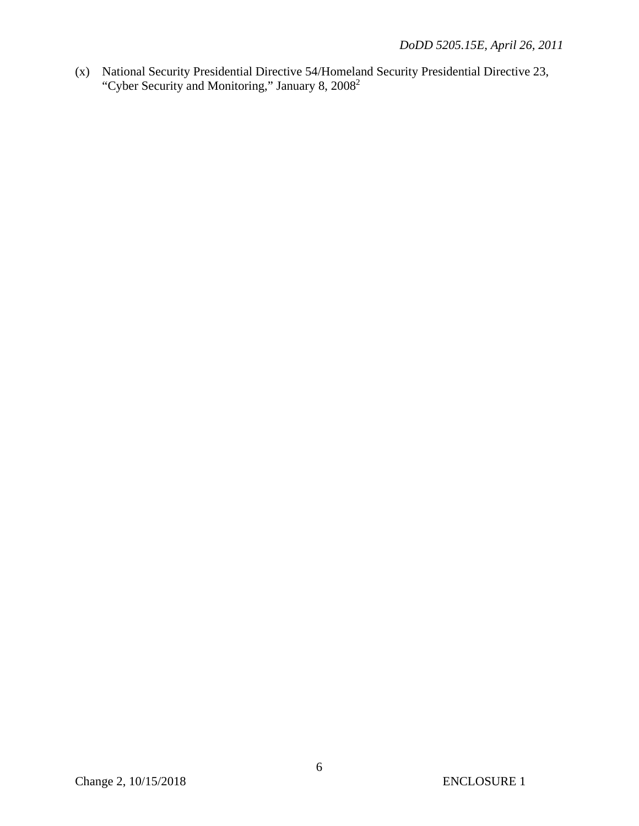(x) National Security Presidential Directive 54/Homeland Security Presidential Directive 23, "Cyber Security and Monitoring," January 8, 20082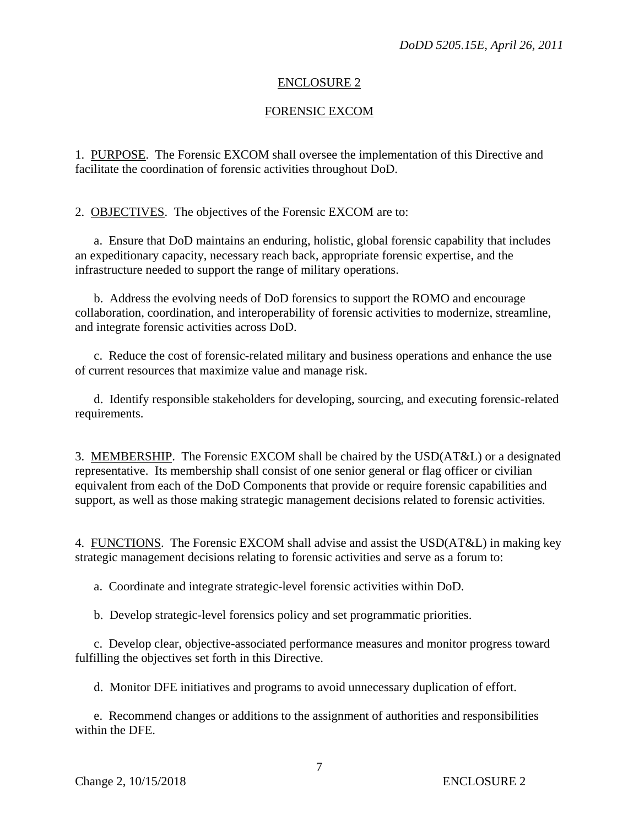#### ENCLOSURE 2

## FORENSIC EXCOM

1. PURPOSE. The Forensic EXCOM shall oversee the implementation of this Directive and facilitate the coordination of forensic activities throughout DoD.

2. OBJECTIVES. The objectives of the Forensic EXCOM are to:

a. Ensure that DoD maintains an enduring, holistic, global forensic capability that includes an expeditionary capacity, necessary reach back, appropriate forensic expertise, and the infrastructure needed to support the range of military operations.

 b. Address the evolving needs of DoD forensics to support the ROMO and encourage collaboration, coordination, and interoperability of forensic activities to modernize, streamline, and integrate forensic activities across DoD.

c. Reduce the cost of forensic-related military and business operations and enhance the use of current resources that maximize value and manage risk.

 d. Identify responsible stakeholders for developing, sourcing, and executing forensic-related requirements.

3. MEMBERSHIP. The Forensic EXCOM shall be chaired by the USD(AT&L) or a designated representative. Its membership shall consist of one senior general or flag officer or civilian equivalent from each of the DoD Components that provide or require forensic capabilities and support, as well as those making strategic management decisions related to forensic activities.

4. FUNCTIONS. The Forensic EXCOM shall advise and assist the USD(AT&L) in making key strategic management decisions relating to forensic activities and serve as a forum to:

a. Coordinate and integrate strategic-level forensic activities within DoD.

b. Develop strategic-level forensics policy and set programmatic priorities.

 c. Develop clear, objective-associated performance measures and monitor progress toward fulfilling the objectives set forth in this Directive.

d. Monitor DFE initiatives and programs to avoid unnecessary duplication of effort.

e. Recommend changes or additions to the assignment of authorities and responsibilities within the DFE.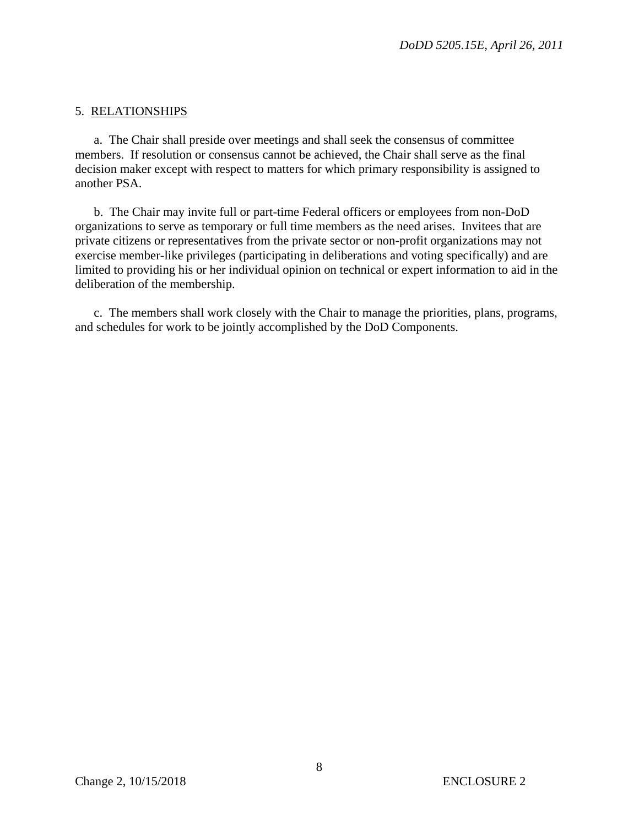## 5. RELATIONSHIPS

a. The Chair shall preside over meetings and shall seek the consensus of committee members. If resolution or consensus cannot be achieved, the Chair shall serve as the final decision maker except with respect to matters for which primary responsibility is assigned to another PSA.

 b. The Chair may invite full or part-time Federal officers or employees from non-DoD organizations to serve as temporary or full time members as the need arises. Invitees that are private citizens or representatives from the private sector or non-profit organizations may not exercise member-like privileges (participating in deliberations and voting specifically) and are limited to providing his or her individual opinion on technical or expert information to aid in the deliberation of the membership.

 c. The members shall work closely with the Chair to manage the priorities, plans, programs, and schedules for work to be jointly accomplished by the DoD Components.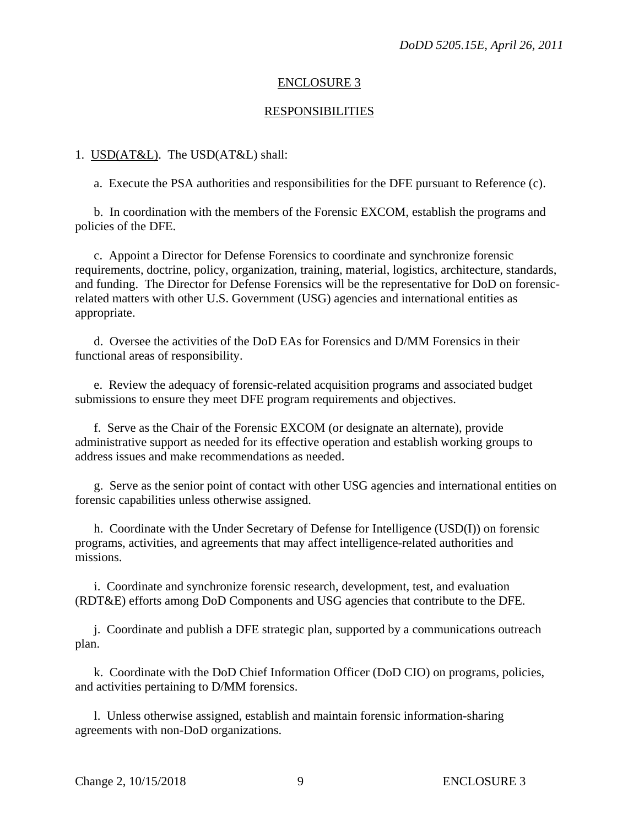#### ENCLOSURE 3

#### RESPONSIBILITIES

#### 1. USD(AT&L). The USD(AT&L) shall:

a. Execute the PSA authorities and responsibilities for the DFE pursuant to Reference (c).

 b. In coordination with the members of the Forensic EXCOM, establish the programs and policies of the DFE.

 c. Appoint a Director for Defense Forensics to coordinate and synchronize forensic requirements, doctrine, policy, organization, training, material, logistics, architecture, standards, and funding. The Director for Defense Forensics will be the representative for DoD on forensicrelated matters with other U.S. Government (USG) agencies and international entities as appropriate.

d. Oversee the activities of the DoD EAs for Forensics and D/MM Forensics in their functional areas of responsibility.

e. Review the adequacy of forensic-related acquisition programs and associated budget submissions to ensure they meet DFE program requirements and objectives.

f. Serve as the Chair of the Forensic EXCOM (or designate an alternate), provide administrative support as needed for its effective operation and establish working groups to address issues and make recommendations as needed.

 g. Serve as the senior point of contact with other USG agencies and international entities on forensic capabilities unless otherwise assigned.

 h. Coordinate with the Under Secretary of Defense for Intelligence (USD(I)) on forensic programs, activities, and agreements that may affect intelligence-related authorities and missions.

 i. Coordinate and synchronize forensic research, development, test, and evaluation (RDT&E) efforts among DoD Components and USG agencies that contribute to the DFE.

 j. Coordinate and publish a DFE strategic plan, supported by a communications outreach plan.

 k. Coordinate with the DoD Chief Information Officer (DoD CIO) on programs, policies, and activities pertaining to D/MM forensics.

 l. Unless otherwise assigned, establish and maintain forensic information-sharing agreements with non-DoD organizations.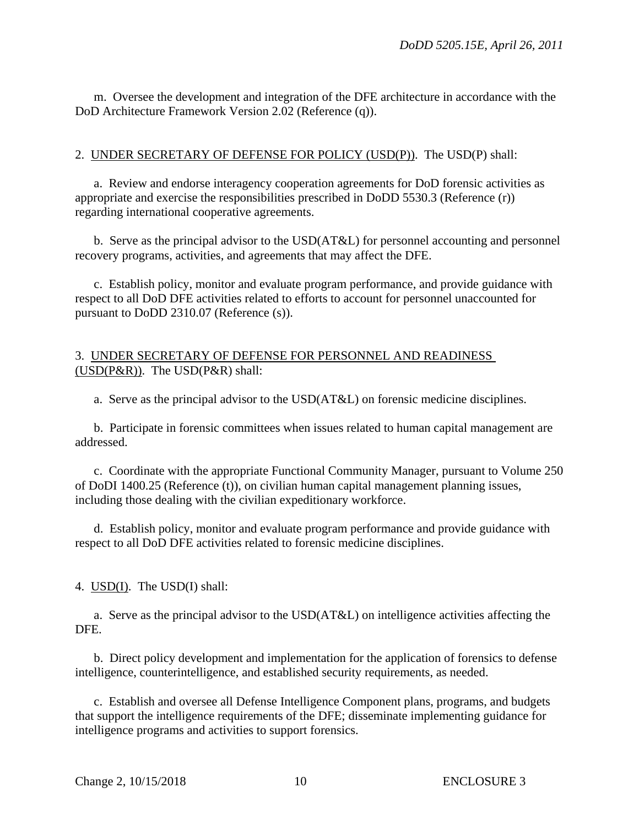m. Oversee the development and integration of the DFE architecture in accordance with the DoD Architecture Framework Version 2.02 (Reference (q)).

# 2. UNDER SECRETARY OF DEFENSE FOR POLICY (USD(P)). The USD(P) shall:

 a. Review and endorse interagency cooperation agreements for DoD forensic activities as appropriate and exercise the responsibilities prescribed in DoDD 5530.3 (Reference (r)) regarding international cooperative agreements.

 b. Serve as the principal advisor to the USD(AT&L) for personnel accounting and personnel recovery programs, activities, and agreements that may affect the DFE.

 c. Establish policy, monitor and evaluate program performance, and provide guidance with respect to all DoD DFE activities related to efforts to account for personnel unaccounted for pursuant to DoDD 2310.07 (Reference (s)).

## 3. UNDER SECRETARY OF DEFENSE FOR PERSONNEL AND READINESS  $(USD(P&R))$ . The  $USD(P&R)$  shall:

a. Serve as the principal advisor to the USD(AT&L) on forensic medicine disciplines.

b. Participate in forensic committees when issues related to human capital management are addressed.

 c. Coordinate with the appropriate Functional Community Manager, pursuant to Volume 250 of DoDI 1400.25 (Reference (t)), on civilian human capital management planning issues, including those dealing with the civilian expeditionary workforce.

 d. Establish policy, monitor and evaluate program performance and provide guidance with respect to all DoD DFE activities related to forensic medicine disciplines.

4. USD(I). The USD(I) shall:

a. Serve as the principal advisor to the USD(AT&L) on intelligence activities affecting the DFE.

 b. Direct policy development and implementation for the application of forensics to defense intelligence, counterintelligence, and established security requirements, as needed.

 c. Establish and oversee all Defense Intelligence Component plans, programs, and budgets that support the intelligence requirements of the DFE; disseminate implementing guidance for intelligence programs and activities to support forensics.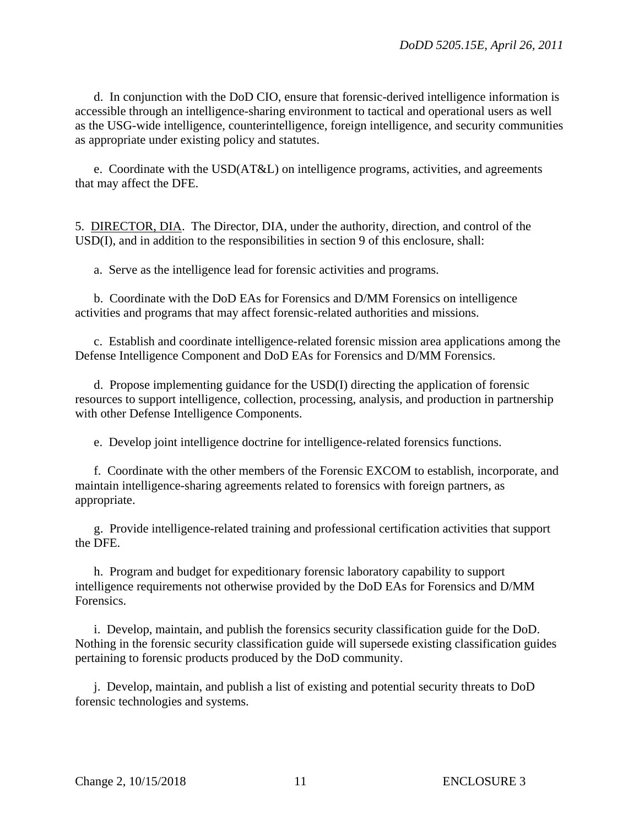d. In conjunction with the DoD CIO, ensure that forensic-derived intelligence information is accessible through an intelligence-sharing environment to tactical and operational users as well as the USG-wide intelligence, counterintelligence, foreign intelligence, and security communities as appropriate under existing policy and statutes.

 e. Coordinate with the USD(AT&L) on intelligence programs, activities, and agreements that may affect the DFE.

5. DIRECTOR, DIA. The Director, DIA, under the authority, direction, and control of the USD(I), and in addition to the responsibilities in section 9 of this enclosure, shall:

a. Serve as the intelligence lead for forensic activities and programs.

 b. Coordinate with the DoD EAs for Forensics and D/MM Forensics on intelligence activities and programs that may affect forensic-related authorities and missions.

c. Establish and coordinate intelligence-related forensic mission area applications among the Defense Intelligence Component and DoD EAs for Forensics and D/MM Forensics.

 d. Propose implementing guidance for the USD(I) directing the application of forensic resources to support intelligence, collection, processing, analysis, and production in partnership with other Defense Intelligence Components.

e. Develop joint intelligence doctrine for intelligence-related forensics functions.

 f. Coordinate with the other members of the Forensic EXCOM to establish, incorporate, and maintain intelligence-sharing agreements related to forensics with foreign partners, as appropriate.

 g. Provide intelligence-related training and professional certification activities that support the DFE.

 h. Program and budget for expeditionary forensic laboratory capability to support intelligence requirements not otherwise provided by the DoD EAs for Forensics and D/MM Forensics.

 i. Develop, maintain, and publish the forensics security classification guide for the DoD. Nothing in the forensic security classification guide will supersede existing classification guides pertaining to forensic products produced by the DoD community.

 j. Develop, maintain, and publish a list of existing and potential security threats to DoD forensic technologies and systems.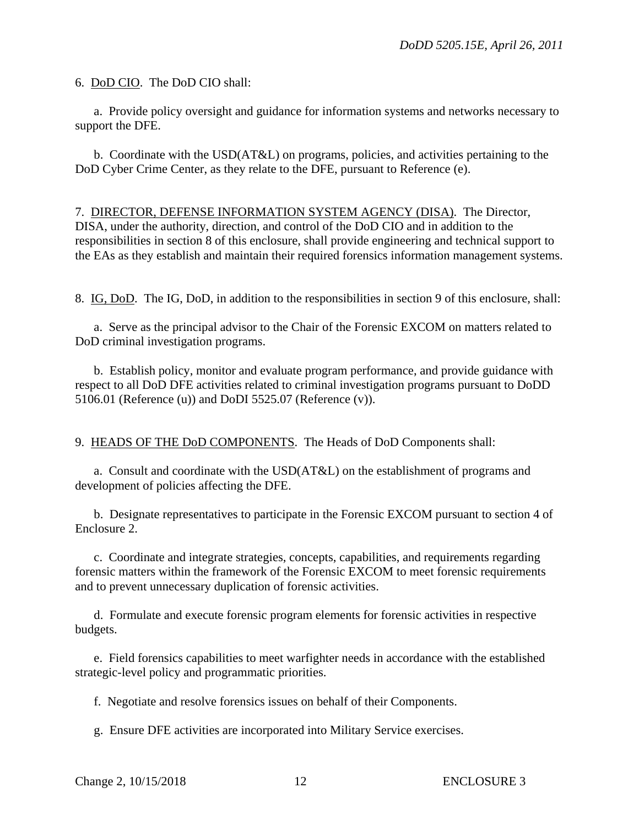6. DoD CIO. The DoD CIO shall:

 a. Provide policy oversight and guidance for information systems and networks necessary to support the DFE.

 b. Coordinate with the USD(AT&L) on programs, policies, and activities pertaining to the DoD Cyber Crime Center, as they relate to the DFE, pursuant to Reference (e).

7. DIRECTOR, DEFENSE INFORMATION SYSTEM AGENCY (DISA). The Director, DISA, under the authority, direction, and control of the DoD CIO and in addition to the responsibilities in section 8 of this enclosure, shall provide engineering and technical support to the EAs as they establish and maintain their required forensics information management systems.

8. IG, DoD. The IG, DoD, in addition to the responsibilities in section 9 of this enclosure, shall:

a. Serve as the principal advisor to the Chair of the Forensic EXCOM on matters related to DoD criminal investigation programs.

 b. Establish policy, monitor and evaluate program performance, and provide guidance with respect to all DoD DFE activities related to criminal investigation programs pursuant to DoDD 5106.01 (Reference (u)) and DoDI 5525.07 (Reference (v)).

9. HEADS OF THE DoD COMPONENTS. The Heads of DoD Components shall:

 a. Consult and coordinate with the USD(AT&L) on the establishment of programs and development of policies affecting the DFE.

b. Designate representatives to participate in the Forensic EXCOM pursuant to section 4 of Enclosure 2.

 c. Coordinate and integrate strategies, concepts, capabilities, and requirements regarding forensic matters within the framework of the Forensic EXCOM to meet forensic requirements and to prevent unnecessary duplication of forensic activities.

 d. Formulate and execute forensic program elements for forensic activities in respective budgets.

 e. Field forensics capabilities to meet warfighter needs in accordance with the established strategic-level policy and programmatic priorities.

f. Negotiate and resolve forensics issues on behalf of their Components.

g. Ensure DFE activities are incorporated into Military Service exercises.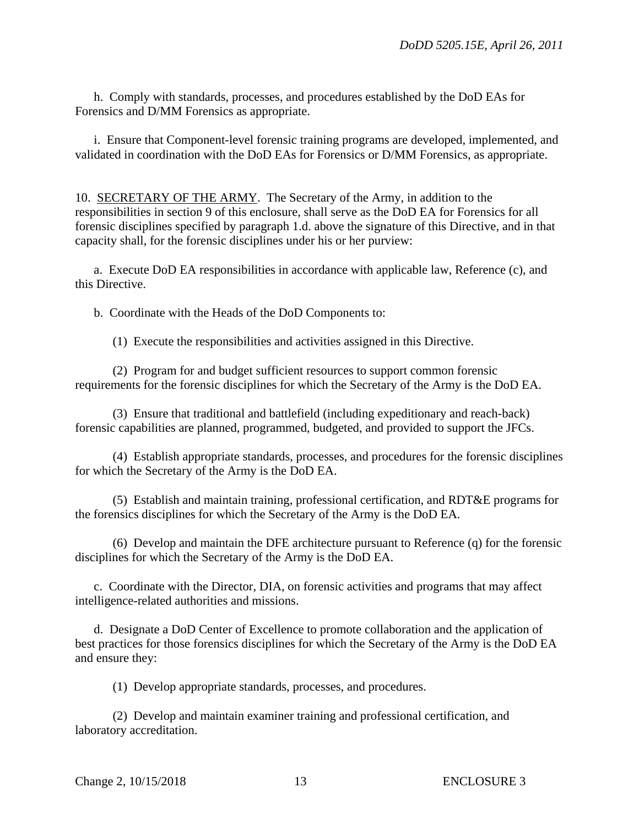h. Comply with standards, processes, and procedures established by the DoD EAs for Forensics and D/MM Forensics as appropriate.

 i. Ensure that Component-level forensic training programs are developed, implemented, and validated in coordination with the DoD EAs for Forensics or D/MM Forensics, as appropriate.

10. SECRETARY OF THE ARMY. The Secretary of the Army, in addition to the responsibilities in section 9 of this enclosure, shall serve as the DoD EA for Forensics for all forensic disciplines specified by paragraph 1.d. above the signature of this Directive, and in that capacity shall, for the forensic disciplines under his or her purview:

 a. Execute DoD EA responsibilities in accordance with applicable law, Reference (c), and this Directive.

b. Coordinate with the Heads of the DoD Components to:

(1) Execute the responsibilities and activities assigned in this Directive.

 (2) Program for and budget sufficient resources to support common forensic requirements for the forensic disciplines for which the Secretary of the Army is the DoD EA.

 (3) Ensure that traditional and battlefield (including expeditionary and reach-back) forensic capabilities are planned, programmed, budgeted, and provided to support the JFCs.

 (4) Establish appropriate standards, processes, and procedures for the forensic disciplines for which the Secretary of the Army is the DoD EA.

 (5) Establish and maintain training, professional certification, and RDT&E programs for the forensics disciplines for which the Secretary of the Army is the DoD EA.

 (6) Develop and maintain the DFE architecture pursuant to Reference (q) for the forensic disciplines for which the Secretary of the Army is the DoD EA.

 c. Coordinate with the Director, DIA, on forensic activities and programs that may affect intelligence-related authorities and missions.

 d. Designate a DoD Center of Excellence to promote collaboration and the application of best practices for those forensics disciplines for which the Secretary of the Army is the DoD EA and ensure they:

(1) Develop appropriate standards, processes, and procedures.

 (2) Develop and maintain examiner training and professional certification, and laboratory accreditation.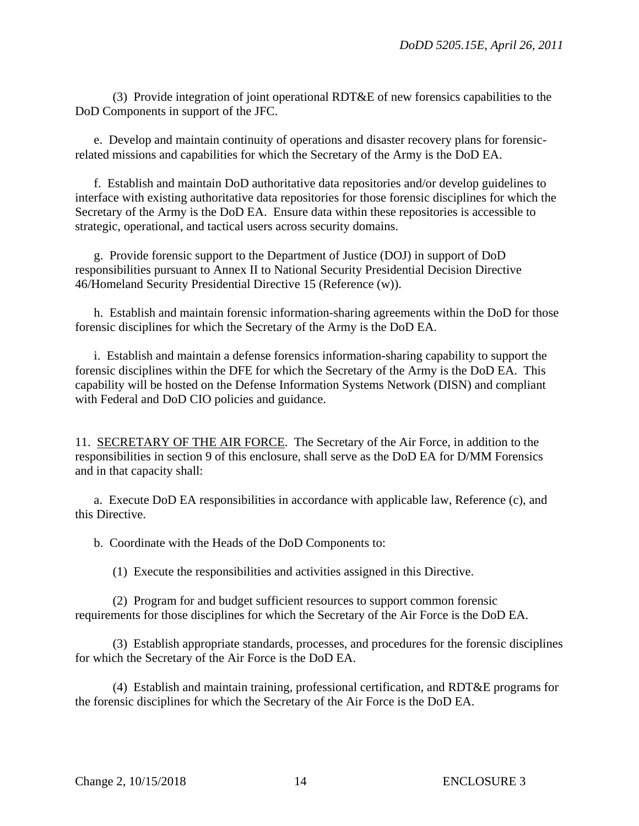(3) Provide integration of joint operational RDT&E of new forensics capabilities to the DoD Components in support of the JFC.

 e. Develop and maintain continuity of operations and disaster recovery plans for forensicrelated missions and capabilities for which the Secretary of the Army is the DoD EA.

 f. Establish and maintain DoD authoritative data repositories and/or develop guidelines to interface with existing authoritative data repositories for those forensic disciplines for which the Secretary of the Army is the DoD EA. Ensure data within these repositories is accessible to strategic, operational, and tactical users across security domains.

 g. Provide forensic support to the Department of Justice (DOJ) in support of DoD responsibilities pursuant to Annex II to National Security Presidential Decision Directive 46/Homeland Security Presidential Directive 15 (Reference (w)).

 h. Establish and maintain forensic information-sharing agreements within the DoD for those forensic disciplines for which the Secretary of the Army is the DoD EA.

i. Establish and maintain a defense forensics information-sharing capability to support the forensic disciplines within the DFE for which the Secretary of the Army is the DoD EA. This capability will be hosted on the Defense Information Systems Network (DISN) and compliant with Federal and DoD CIO policies and guidance.

11. SECRETARY OF THE AIR FORCE. The Secretary of the Air Force, in addition to the responsibilities in section 9 of this enclosure, shall serve as the DoD EA for D/MM Forensics and in that capacity shall:

a. Execute DoD EA responsibilities in accordance with applicable law, Reference (c), and this Directive.

b. Coordinate with the Heads of the DoD Components to:

(1) Execute the responsibilities and activities assigned in this Directive.

 (2) Program for and budget sufficient resources to support common forensic requirements for those disciplines for which the Secretary of the Air Force is the DoD EA.

 (3) Establish appropriate standards, processes, and procedures for the forensic disciplines for which the Secretary of the Air Force is the DoD EA.

 (4) Establish and maintain training, professional certification, and RDT&E programs for the forensic disciplines for which the Secretary of the Air Force is the DoD EA.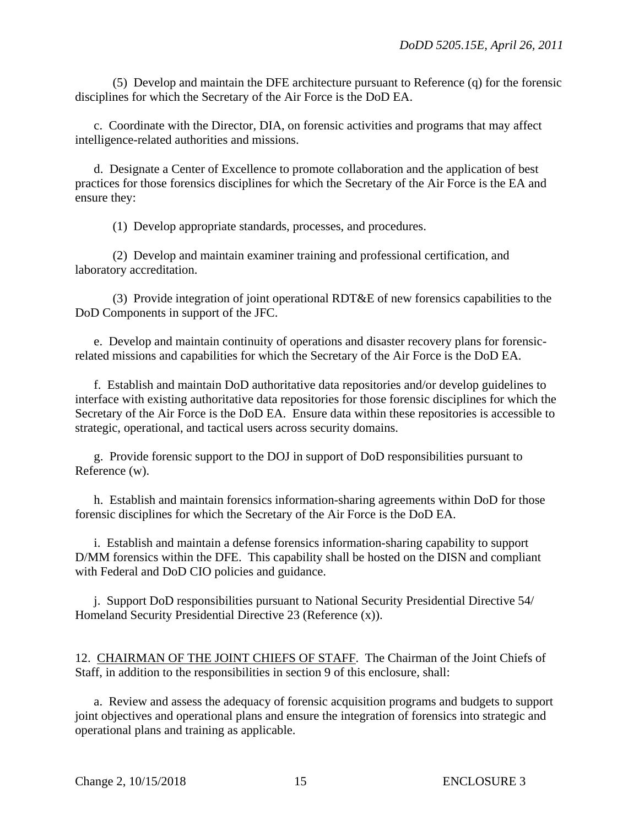(5) Develop and maintain the DFE architecture pursuant to Reference (q) for the forensic disciplines for which the Secretary of the Air Force is the DoD EA.

 c. Coordinate with the Director, DIA, on forensic activities and programs that may affect intelligence-related authorities and missions.

 d. Designate a Center of Excellence to promote collaboration and the application of best practices for those forensics disciplines for which the Secretary of the Air Force is the EA and ensure they:

(1) Develop appropriate standards, processes, and procedures.

 (2) Develop and maintain examiner training and professional certification, and laboratory accreditation.

 (3) Provide integration of joint operational RDT&E of new forensics capabilities to the DoD Components in support of the JFC.

 e. Develop and maintain continuity of operations and disaster recovery plans for forensicrelated missions and capabilities for which the Secretary of the Air Force is the DoD EA.

 f. Establish and maintain DoD authoritative data repositories and/or develop guidelines to interface with existing authoritative data repositories for those forensic disciplines for which the Secretary of the Air Force is the DoD EA. Ensure data within these repositories is accessible to strategic, operational, and tactical users across security domains.

 g. Provide forensic support to the DOJ in support of DoD responsibilities pursuant to Reference (w).

 h. Establish and maintain forensics information-sharing agreements within DoD for those forensic disciplines for which the Secretary of the Air Force is the DoD EA.

i. Establish and maintain a defense forensics information-sharing capability to support D/MM forensics within the DFE. This capability shall be hosted on the DISN and compliant with Federal and DoD CIO policies and guidance.

j. Support DoD responsibilities pursuant to National Security Presidential Directive 54/ Homeland Security Presidential Directive 23 (Reference (x)).

12. CHAIRMAN OF THE JOINT CHIEFS OF STAFF. The Chairman of the Joint Chiefs of Staff, in addition to the responsibilities in section 9 of this enclosure, shall:

a. Review and assess the adequacy of forensic acquisition programs and budgets to support joint objectives and operational plans and ensure the integration of forensics into strategic and operational plans and training as applicable.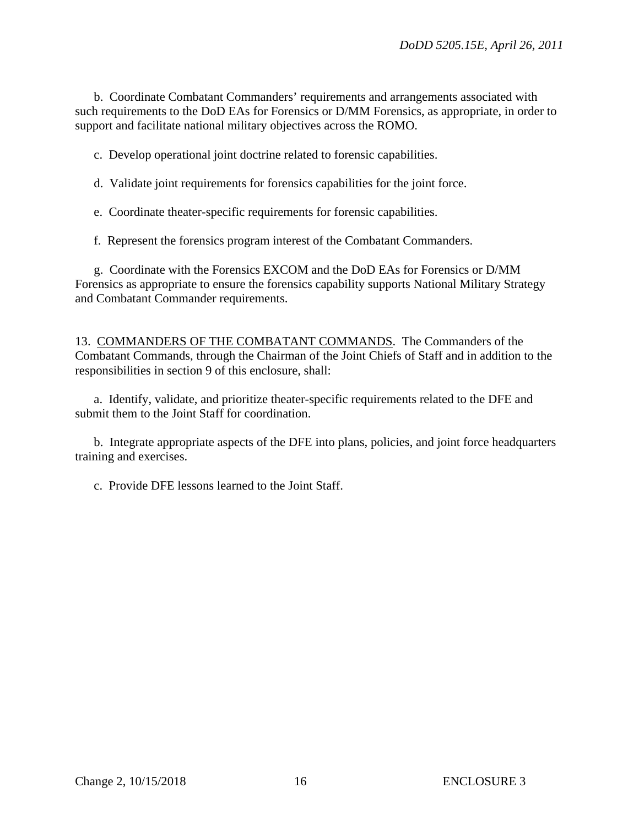b. Coordinate Combatant Commanders' requirements and arrangements associated with such requirements to the DoD EAs for Forensics or D/MM Forensics, as appropriate, in order to support and facilitate national military objectives across the ROMO.

c. Develop operational joint doctrine related to forensic capabilities.

d. Validate joint requirements for forensics capabilities for the joint force.

e. Coordinate theater-specific requirements for forensic capabilities.

f. Represent the forensics program interest of the Combatant Commanders.

 g. Coordinate with the Forensics EXCOM and the DoD EAs for Forensics or D/MM Forensics as appropriate to ensure the forensics capability supports National Military Strategy and Combatant Commander requirements.

13. COMMANDERS OF THE COMBATANT COMMANDS. The Commanders of the Combatant Commands, through the Chairman of the Joint Chiefs of Staff and in addition to the responsibilities in section 9 of this enclosure, shall:

 a. Identify, validate, and prioritize theater-specific requirements related to the DFE and submit them to the Joint Staff for coordination.

 b. Integrate appropriate aspects of the DFE into plans, policies, and joint force headquarters training and exercises.

c. Provide DFE lessons learned to the Joint Staff.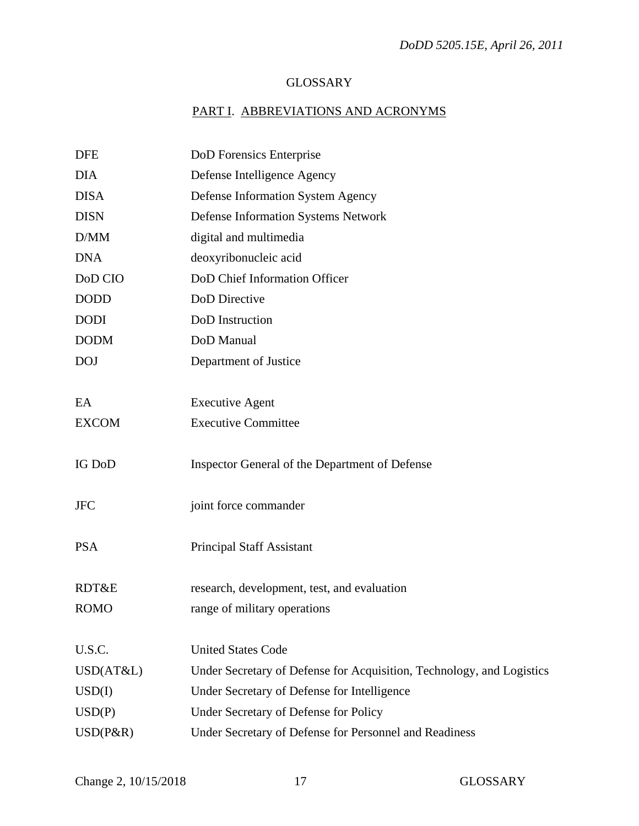# GLOSSARY

# PART I. ABBREVIATIONS AND ACRONYMS

| <b>DFE</b>    | DoD Forensics Enterprise                                              |
|---------------|-----------------------------------------------------------------------|
| <b>DIA</b>    | Defense Intelligence Agency                                           |
| <b>DISA</b>   | Defense Information System Agency                                     |
| <b>DISN</b>   | <b>Defense Information Systems Network</b>                            |
| D/MM          | digital and multimedia                                                |
| <b>DNA</b>    | deoxyribonucleic acid                                                 |
| DoD CIO       | DoD Chief Information Officer                                         |
| <b>DODD</b>   | DoD Directive                                                         |
| <b>DODI</b>   | DoD Instruction                                                       |
| <b>DODM</b>   | DoD Manual                                                            |
| <b>DOJ</b>    | Department of Justice                                                 |
|               |                                                                       |
| EA            | <b>Executive Agent</b>                                                |
| <b>EXCOM</b>  | <b>Executive Committee</b>                                            |
|               |                                                                       |
| <b>IG DoD</b> | Inspector General of the Department of Defense                        |
|               |                                                                       |
| <b>JFC</b>    | joint force commander                                                 |
|               |                                                                       |
| <b>PSA</b>    | <b>Principal Staff Assistant</b>                                      |
|               |                                                                       |
| RDT&E         | research, development, test, and evaluation                           |
| <b>ROMO</b>   | range of military operations                                          |
|               |                                                                       |
| U.S.C.        | <b>United States Code</b>                                             |
| USD(AT&L)     | Under Secretary of Defense for Acquisition, Technology, and Logistics |
| USD(I)        | Under Secretary of Defense for Intelligence                           |
| USD(P)        | Under Secretary of Defense for Policy                                 |
| $USD(P\&R)$   | Under Secretary of Defense for Personnel and Readiness                |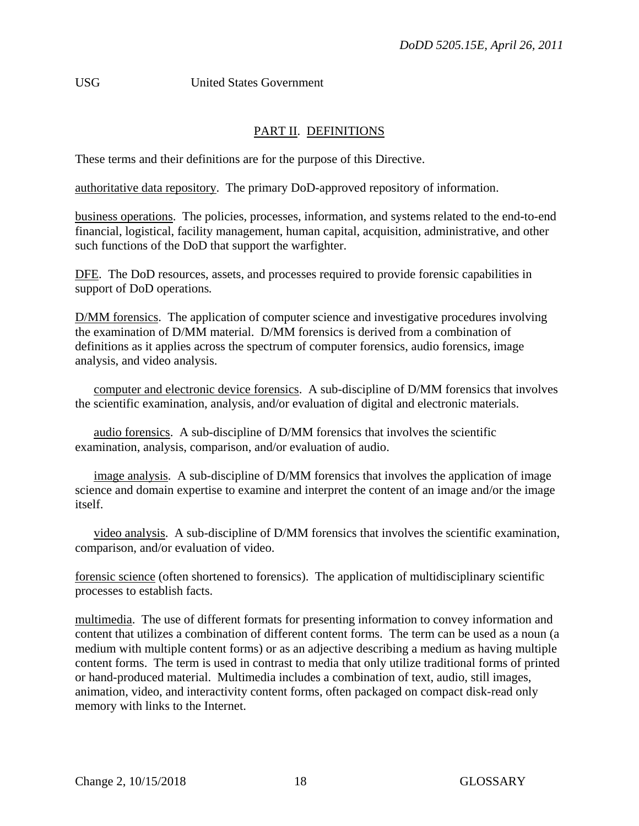USG United States Government

# PART II. DEFINITIONS

These terms and their definitions are for the purpose of this Directive.

authoritative data repository. The primary DoD-approved repository of information.

business operations. The policies, processes, information, and systems related to the end-to-end financial, logistical, facility management, human capital, acquisition, administrative, and other such functions of the DoD that support the warfighter.

DFE. The DoD resources, assets, and processes required to provide forensic capabilities in support of DoD operations*.* 

D/MM forensics. The application of computer science and investigative procedures involving the examination of D/MM material. D/MM forensics is derived from a combination of definitions as it applies across the spectrum of computer forensics, audio forensics, image analysis, and video analysis.

computer and electronic device forensics. A sub-discipline of D/MM forensics that involves the scientific examination, analysis, and/or evaluation of digital and electronic materials.

 audio forensics. A sub-discipline of D/MM forensics that involves the scientific examination, analysis, comparison, and/or evaluation of audio.

image analysis. A sub-discipline of D/MM forensics that involves the application of image science and domain expertise to examine and interpret the content of an image and/or the image itself.

 video analysis. A sub-discipline of D/MM forensics that involves the scientific examination, comparison, and/or evaluation of video.

forensic science (often shortened to forensics). The application of multidisciplinary scientific processes to establish facts.

multimedia. The use of different formats for presenting information to convey information and content that utilizes a combination of different content forms. The term can be used as a noun (a medium with multiple content forms) or as an adjective describing a medium as having multiple content forms. The term is used in contrast to media that only utilize traditional forms of printed or hand-produced material. Multimedia includes a combination of text, audio, still images, animation, video, and interactivity content forms, often packaged on compact disk-read only memory with links to the Internet.